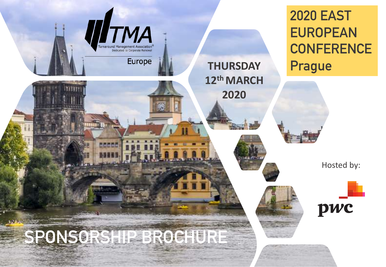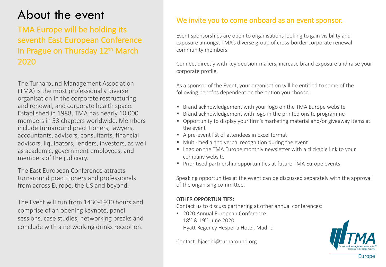## About the event

## TMA Europe will be holding its seventh East European Conference in Prague on Thursday 12<sup>th</sup> March 2020

The Turnaround Management Association (TMA) is the most professionally diverse organisation in the corporate restructuring and renewal, and corporate health space. Established in 1988, TMA has nearly 10,000 members in 53 chapters worldwide. Members include turnaround practitioners, lawyers, accountants, advisors, consultants, financial advisors, liquidators, lenders, investors, as well as academic, government employees, and members of the judiciary.

The East European Conference attracts turnaround practitioners and professionals from across Europe, the US and beyond.

The Event will run from 1430-1930 hours and comprise of an opening keynote, panel sessions, case studies, networking breaks and conclude with a networking drinks reception.

### We invite you to come onboard as an event sponsor.

Event sponsorships are open to organisations looking to gain visibility and exposure amongst TMA's diverse group of cross-border corporate renewal community members.

Connect directly with key decision-makers, increase brand exposure and raise your corporate profile.

As a sponsor of the Event, your organisation will be entitled to some of the following benefits dependent on the option you choose:

- Brand acknowledgement with your logo on the TMA Europe website
- Brand acknowledgement with logo in the printed onsite programme
- Opportunity to display your firm's marketing material and/or giveaway items at the event
- A pre-event list of attendees in Excel format
- Multi-media and verbal recognition during the event
- Logo on the TMA Europe monthly newsletter with a clickable link to your company website
- Prioritised partnership opportunities at future TMA Europe events

Speaking opportunities at the event can be discussed separately with the approval of the organising committee.

#### OTHER OPPORTUNITIES:

Contact us to discuss partnering at other annual conferences:

• 2020 Annual European Conference: 18th & 19th June 2020 Hyatt Regency Hesperia Hotel, Madrid

Contact: hjacobi@turnaround.org

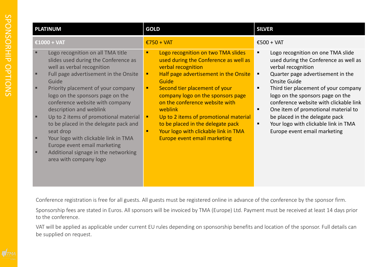| <b>PLATINUM</b>                                                                                                                                                                                                                                                                                                                                                                                                                                                                                                                            | <b>GOLD</b>                                                                                                                                                                                                                                                                                                                                                                                                                                              | <b>SILVER</b>                                                                                                                                                                                                                                                                                                                                                                                                                          |
|--------------------------------------------------------------------------------------------------------------------------------------------------------------------------------------------------------------------------------------------------------------------------------------------------------------------------------------------------------------------------------------------------------------------------------------------------------------------------------------------------------------------------------------------|----------------------------------------------------------------------------------------------------------------------------------------------------------------------------------------------------------------------------------------------------------------------------------------------------------------------------------------------------------------------------------------------------------------------------------------------------------|----------------------------------------------------------------------------------------------------------------------------------------------------------------------------------------------------------------------------------------------------------------------------------------------------------------------------------------------------------------------------------------------------------------------------------------|
| €1000 + VAT                                                                                                                                                                                                                                                                                                                                                                                                                                                                                                                                | $£750 + VAT$                                                                                                                                                                                                                                                                                                                                                                                                                                             | €500 + VAT                                                                                                                                                                                                                                                                                                                                                                                                                             |
| Logo recognition on all TMA title<br>slides used during the Conference as<br>well as verbal recognition<br>Full page advertisement in the Onsite<br>Guide<br>Priority placement of your company<br>logo on the sponsors page on the<br>conference website with company<br>description and weblink<br>Up to 2 items of promotional material<br>to be placed in the delegate pack and<br>seat drop<br>Your logo with clickable link in TMA<br>Europe event email marketing<br>Additional signage in the networking<br>area with company logo | Logo recognition on two TMA slides<br>used during the Conference as well as<br>verbal recognition<br>Half page advertisement in the Onsite<br>п<br>Guide<br>Second tier placement of your<br>٠<br>company logo on the sponsors page<br>on the conference website with<br>weblink<br>Up to 2 items of promotional material<br>п,<br>to be placed in the delegate pack<br>Your logo with clickable link in TMA<br>п<br><b>Europe event email marketing</b> | Logo recognition on one TMA slide<br>used during the Conference as well as<br>verbal recognition<br>Quarter page advertisement in the<br>п<br>Onsite Guide<br>Third tier placement of your company<br>logo on the sponsors page on the<br>conference website with clickable link<br>One item of promotional material to<br>٠<br>be placed in the delegate pack<br>Your logo with clickable link in TMA<br>Europe event email marketing |

Conference registration is free for all guests. All guests must be registered online in advance of the conference by the sponsor firm.

Sponsorship fees are stated in Euros. All sponsors will be invoiced by TMA (Europe) Ltd. Payment must be received at least 14 days prior to the conference.

VAT will be applied as applicable under current EU rules depending on sponsorship benefits and location of the sponsor. Full details can be supplied on request.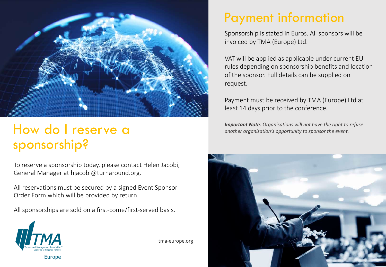

# sponsorship?

To reserve a sponsorship today, please contact Helen Jacobi, General Manager at hjacobi@turnaround.org.

All reservations must be secured by a signed Event Sponsor Order Form which will be provided by return.

All sponsorships are sold on a first-come/first-served basis.



tma-europe.org

## Payment information

Sponsorship is stated in Euros. All sponsors will be invoiced by TMA (Europe) Ltd.

VAT will be applied as applicable under current EU rules depending on sponsorship benefits and location of the sponsor. Full details can be supplied on request.

Payment must be received by TMA (Europe) Ltd at least 14 days prior to the conference.

**Important Note**: Organisations will not have the right to refuse **another organisation's opportunity** to sponsor the event.